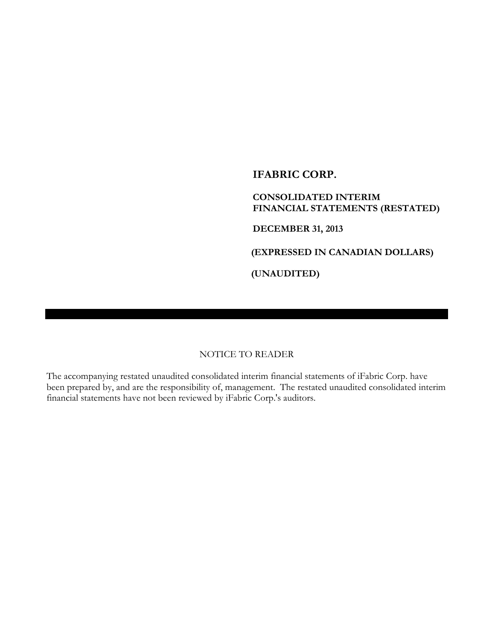**IFABRIC CORP.**

**CONSOLIDATED INTERIM FINANCIAL STATEMENTS (RESTATED)**

**DECEMBER 31, 2013**

**(EXPRESSED IN CANADIAN DOLLARS)**

**(UNAUDITED)**

### NOTICE TO READER

The accompanying restated unaudited consolidated interim financial statements of iFabric Corp. have been prepared by, and are the responsibility of, management. The restated unaudited consolidated interim financial statements have not been reviewed by iFabric Corp.'s auditors.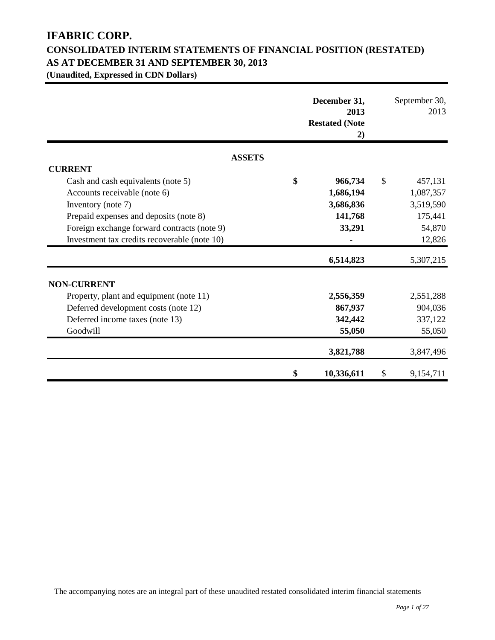# **IFABRIC CORP. CONSOLIDATED INTERIM STATEMENTS OF FINANCIAL POSITION (RESTATED) AS AT DECEMBER 31 AND SEPTEMBER 30, 2013**

**(Unaudited, Expressed in CDN Dollars)**

|                                              | December 31,<br>2013<br><b>Restated (Note</b><br>2) | September 30,<br>2013 |
|----------------------------------------------|-----------------------------------------------------|-----------------------|
| <b>ASSETS</b>                                |                                                     |                       |
| <b>CURRENT</b>                               |                                                     |                       |
| Cash and cash equivalents (note 5)           | \$<br>966,734                                       | \$<br>457,131         |
| Accounts receivable (note 6)                 | 1,686,194                                           | 1,087,357             |
| Inventory (note 7)                           | 3,686,836                                           | 3,519,590             |
| Prepaid expenses and deposits (note 8)       | 141,768                                             | 175,441               |
| Foreign exchange forward contracts (note 9)  | 33,291                                              | 54,870                |
| Investment tax credits recoverable (note 10) |                                                     | 12,826                |
|                                              | 6,514,823                                           | 5,307,215             |
| <b>NON-CURRENT</b>                           |                                                     |                       |
| Property, plant and equipment (note 11)      | 2,556,359                                           | 2,551,288             |
| Deferred development costs (note 12)         | 867,937                                             | 904,036               |
| Deferred income taxes (note 13)              | 342,442                                             | 337,122               |
| Goodwill                                     | 55,050                                              | 55,050                |
|                                              | 3,821,788                                           | 3,847,496             |
|                                              | \$<br>10,336,611                                    | \$<br>9,154,711       |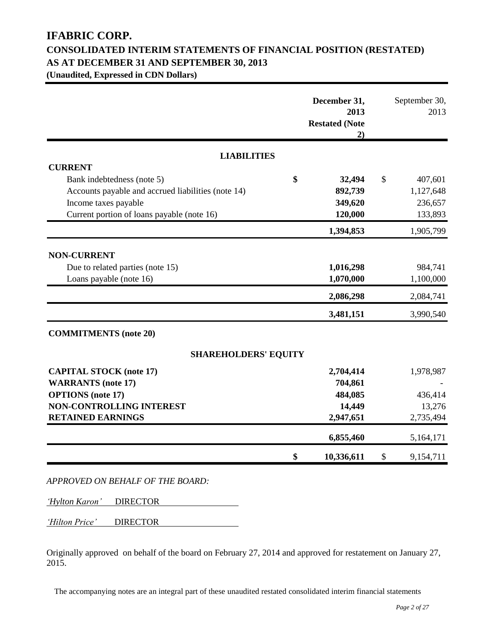# **IFABRIC CORP. CONSOLIDATED INTERIM STATEMENTS OF FINANCIAL POSITION (RESTATED) AS AT DECEMBER 31 AND SEPTEMBER 30, 2013**

**(Unaudited, Expressed in CDN Dollars)**

|                                                    | December 31,<br>2013<br><b>Restated (Note</b><br>2) |               | September 30,<br>2013 |
|----------------------------------------------------|-----------------------------------------------------|---------------|-----------------------|
| <b>LIABILITIES</b>                                 |                                                     |               |                       |
| <b>CURRENT</b>                                     |                                                     |               |                       |
| Bank indebtedness (note 5)                         | \$<br>32,494                                        | $\mathcal{S}$ | 407,601               |
| Accounts payable and accrued liabilities (note 14) | 892,739                                             |               | 1,127,648             |
| Income taxes payable                               | 349,620                                             |               | 236,657               |
| Current portion of loans payable (note 16)         | 120,000                                             |               | 133,893               |
|                                                    | 1,394,853                                           |               | 1,905,799             |
| <b>NON-CURRENT</b>                                 |                                                     |               |                       |
| Due to related parties (note 15)                   | 1,016,298                                           |               | 984,741               |
| Loans payable (note 16)                            | 1,070,000                                           |               | 1,100,000             |
|                                                    | 2,086,298                                           |               | 2,084,741             |
|                                                    | 3,481,151                                           |               | 3,990,540             |
| <b>COMMITMENTS</b> (note 20)                       |                                                     |               |                       |
| <b>SHAREHOLDERS' EQUITY</b>                        |                                                     |               |                       |
| <b>CAPITAL STOCK (note 17)</b>                     | 2,704,414                                           |               | 1,978,987             |
| <b>WARRANTS</b> (note 17)                          | 704,861                                             |               |                       |
| <b>OPTIONS</b> (note 17)                           | 484,085                                             |               | 436,414               |
| NON-CONTROLLING INTEREST                           | 14,449                                              |               | 13,276                |
| <b>RETAINED EARNINGS</b>                           | 2,947,651                                           |               | 2,735,494             |
|                                                    | 6,855,460                                           |               | 5,164,171             |
|                                                    | \$<br>10,336,611                                    | \$            | 9,154,711             |

*'Hylton Karon'* DIRECTOR

*'Hilton Price'* DIRECTOR

Originally approved on behalf of the board on February 27, 2014 and approved for restatement on January 27, 2015.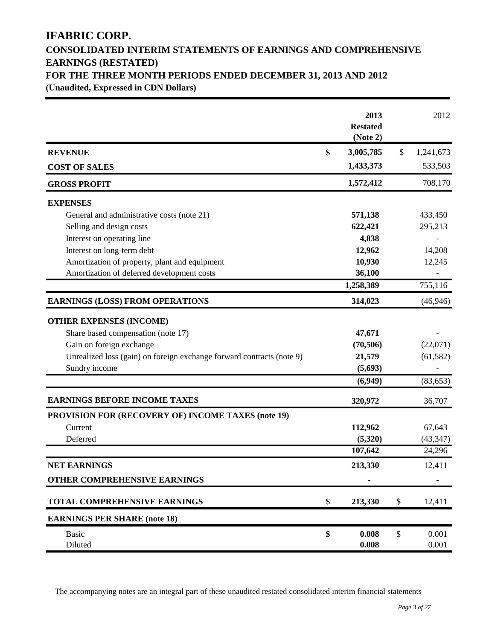# **IFABRIC CORP. CONSOLIDATED INTERIM STATEMENTS OF EARNINGS AND COMPREHENSIVE EARNINGS (RESTATED) FOR THE THREE MONTH PERIODS ENDED DECEMBER 31, 2013 AND 2012 (Unaudited, Expressed in CDN Dollars)**

|                                                                       | 2013<br><b>Restated</b><br>(Note 2) |                           | 2012      |
|-----------------------------------------------------------------------|-------------------------------------|---------------------------|-----------|
| <b>REVENUE</b>                                                        | \$<br>3,005,785                     | \$                        | 1,241,673 |
| <b>COST OF SALES</b>                                                  | 1,433,373                           |                           | 533,503   |
| <b>GROSS PROFIT</b>                                                   | 1,572,412                           |                           | 708,170   |
| <b>EXPENSES</b>                                                       |                                     |                           |           |
| General and administrative costs (note 21)                            | 571,138                             |                           | 433,450   |
| Selling and design costs                                              | 622,421                             |                           | 295,213   |
| Interest on operating line                                            | 4,838                               |                           |           |
| Interest on long-term debt                                            | 12,962                              |                           | 14,208    |
| Amortization of property, plant and equipment                         | 10,930                              |                           | 12,245    |
| Amortization of deferred development costs                            | 36,100                              |                           |           |
|                                                                       | 1,258,389                           |                           | 755,116   |
| <b>EARNINGS (LOSS) FROM OPERATIONS</b>                                | 314,023                             |                           | (46, 946) |
| <b>OTHER EXPENSES (INCOME)</b>                                        |                                     |                           |           |
| Share based compensation (note 17)                                    | 47,671                              |                           |           |
| Gain on foreign exchange                                              | (70, 506)                           |                           | (22,071)  |
| Unrealized loss (gain) on foreign exchange forward contracts (note 9) | 21,579                              |                           | (61, 582) |
| Sundry income                                                         | (5,693)                             |                           |           |
|                                                                       | (6,949)                             |                           | (83, 653) |
| <b>EARNINGS BEFORE INCOME TAXES</b>                                   | 320,972                             |                           | 36,707    |
| <b>PROVISION FOR (RECOVERY OF) INCOME TAXES (note 19)</b>             |                                     |                           |           |
| Current                                                               | 112,962                             |                           | 67,643    |
| Deferred                                                              | (5,320)                             |                           | (43, 347) |
|                                                                       | 107,642                             |                           | 24,296    |
| <b>NET EARNINGS</b>                                                   | 213,330                             |                           | 12,411    |
| OTHER COMPREHENSIVE EARNINGS                                          |                                     |                           |           |
| <b>TOTAL COMPREHENSIVE EARNINGS</b>                                   | \$<br>213,330                       | \$                        | 12,411    |
| <b>EARNINGS PER SHARE (note 18)</b>                                   |                                     |                           |           |
| <b>Basic</b>                                                          | \$<br>0.008                         | $\boldsymbol{\mathsf{S}}$ | 0.001     |
| Diluted                                                               | 0.008                               |                           | 0.001     |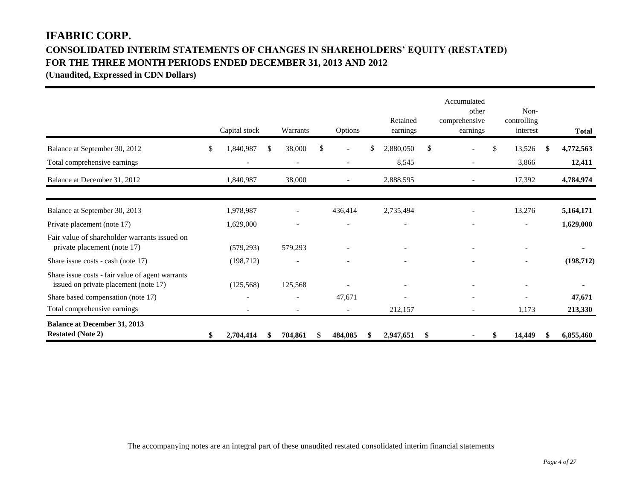# **IFABRIC CORP. CONSOLIDATED INTERIM STATEMENTS OF CHANGES IN SHAREHOLDERS' EQUITY (RESTATED) FOR THE THREE MONTH PERIODS ENDED DECEMBER 31, 2013 AND 2012**

**(Unaudited, Expressed in CDN Dollars)** 

|                                                                                           | Capital stock            |     | Warrants                 | Options                  |    | Retained<br>earnings | Accumulated<br>other<br>comprehensive<br>earnings |     | Non-<br>controlling<br>interest | <b>Total</b> |
|-------------------------------------------------------------------------------------------|--------------------------|-----|--------------------------|--------------------------|----|----------------------|---------------------------------------------------|-----|---------------------------------|--------------|
| Balance at September 30, 2012                                                             | \$<br>1,840,987          | \$. | 38,000                   | \$                       | £. | 2,880,050            | \$                                                | \$. | 13,526                          | 4,772,563    |
| Total comprehensive earnings                                                              |                          |     | $\overline{\phantom{a}}$ |                          |    | 8,545                |                                                   |     | 3,866                           | 12,411       |
| Balance at December 31, 2012                                                              | 1,840,987                |     | 38,000                   | $\overline{\phantom{a}}$ |    | 2,888,595            |                                                   |     | 17,392                          | 4,784,974    |
| Balance at September 30, 2013                                                             | 1,978,987                |     |                          | 436,414                  |    | 2,735,494            |                                                   |     | 13,276                          | 5,164,171    |
| Private placement (note 17)                                                               | 1,629,000                |     |                          |                          |    |                      |                                                   |     | $\overline{\phantom{0}}$        | 1,629,000    |
| Fair value of shareholder warrants issued on<br>private placement (note 17)               | (579, 293)               |     | 579,293                  | $\overline{\phantom{a}}$ |    |                      | $\overline{\phantom{a}}$                          |     | $\overline{a}$                  |              |
| Share issue costs - cash (note 17)                                                        | (198, 712)               |     |                          |                          |    |                      |                                                   |     | $\overline{\phantom{0}}$        | (198, 712)   |
| Share issue costs - fair value of agent warrants<br>issued on private placement (note 17) | (125, 568)               |     | 125,568                  |                          |    |                      |                                                   |     |                                 |              |
| Share based compensation (note 17)                                                        | $\overline{\phantom{a}}$ |     | $\overline{\phantom{a}}$ | 47,671                   |    |                      |                                                   |     | $\overline{\phantom{0}}$        | 47,671       |
| Total comprehensive earnings                                                              |                          |     |                          | $\overline{\phantom{a}}$ |    | 212,157              |                                                   |     | 1,173                           | 213,330      |
| <b>Balance at December 31, 2013</b><br><b>Restated (Note 2)</b>                           | 2,704,414                |     | 704,861                  | 484,085                  |    | 2,947,651            | \$                                                |     | 14,449                          | 6,855,460    |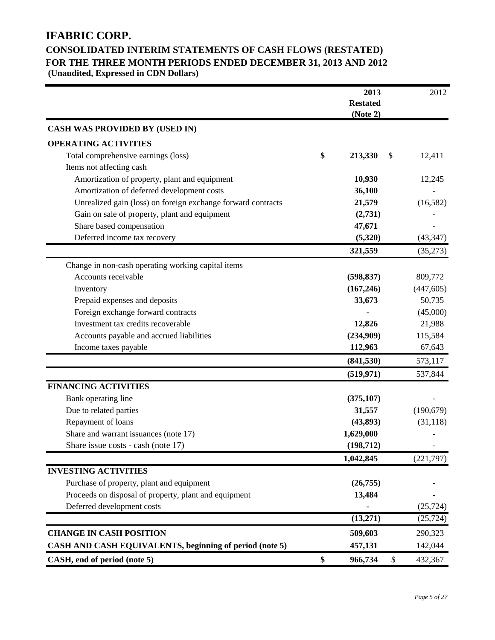# **IFABRIC CORP.**

# **CONSOLIDATED INTERIM STATEMENTS OF CASH FLOWS (RESTATED) FOR THE THREE MONTH PERIODS ENDED DECEMBER 31, 2013 AND 2012**

**(Unaudited, Expressed in CDN Dollars)** 

|                                                              | 2013<br><b>Restated</b><br>(Note 2) | 2012          |
|--------------------------------------------------------------|-------------------------------------|---------------|
| <b>CASH WAS PROVIDED BY (USED IN)</b>                        |                                     |               |
| <b>OPERATING ACTIVITIES</b>                                  |                                     |               |
| Total comprehensive earnings (loss)                          | \$<br>213,330<br>\$                 | 12,411        |
| Items not affecting cash                                     |                                     |               |
| Amortization of property, plant and equipment                | 10,930                              | 12,245        |
| Amortization of deferred development costs                   | 36,100                              |               |
| Unrealized gain (loss) on foreign exchange forward contracts | 21,579                              | (16, 582)     |
| Gain on sale of property, plant and equipment                | (2,731)                             |               |
| Share based compensation                                     | 47,671                              |               |
| Deferred income tax recovery                                 | (5,320)                             | (43, 347)     |
|                                                              | 321,559                             | (35,273)      |
| Change in non-cash operating working capital items           |                                     |               |
| Accounts receivable                                          | (598, 837)                          | 809,772       |
| Inventory                                                    | (167, 246)                          | (447, 605)    |
| Prepaid expenses and deposits                                | 33,673                              | 50,735        |
| Foreign exchange forward contracts                           |                                     | (45,000)      |
| Investment tax credits recoverable                           | 12,826                              | 21,988        |
| Accounts payable and accrued liabilities                     | (234,909)                           | 115,584       |
| Income taxes payable                                         | 112,963                             | 67,643        |
|                                                              | (841, 530)                          | 573,117       |
|                                                              | (519, 971)                          | 537,844       |
| <b>FINANCING ACTIVITIES</b>                                  |                                     |               |
| Bank operating line                                          | (375, 107)                          |               |
| Due to related parties                                       | 31,557                              | (190, 679)    |
| Repayment of loans                                           | (43,893)                            | (31, 118)     |
| Share and warrant issuances (note 17)                        | 1,629,000                           |               |
| Share issue costs - cash (note 17)                           | (198, 712)                          |               |
|                                                              | 1,042,845                           | (221,797)     |
| <b>INVESTING ACTIVITIES</b>                                  |                                     |               |
| Purchase of property, plant and equipment                    | (26, 755)                           |               |
| Proceeds on disposal of property, plant and equipment        | 13,484                              |               |
| Deferred development costs                                   |                                     | (25, 724)     |
|                                                              | (13,271)                            | (25, 724)     |
| <b>CHANGE IN CASH POSITION</b>                               | 509,603                             | 290,323       |
| CASH AND CASH EQUIVALENTS, beginning of period (note 5)      | 457,131                             | 142,044       |
| CASH, end of period (note 5)                                 | \$<br>966,734                       | \$<br>432,367 |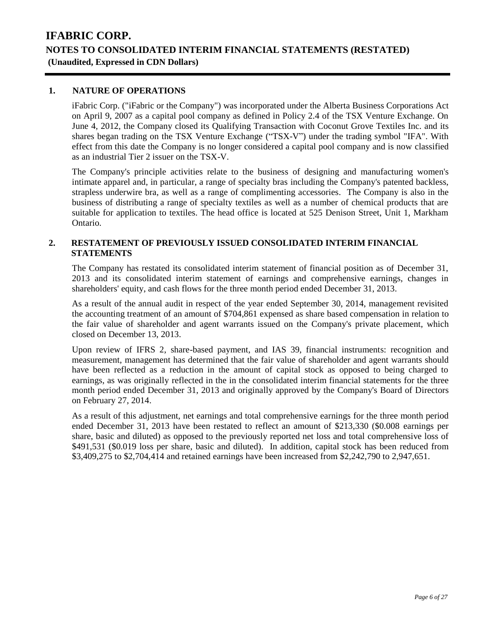### **1. NATURE OF OPERATIONS**

iFabric Corp. ("iFabric or the Company") was incorporated under the Alberta Business Corporations Act on April 9, 2007 as a capital pool company as defined in Policy 2.4 of the TSX Venture Exchange. On June 4, 2012, the Company closed its Qualifying Transaction with Coconut Grove Textiles Inc. and its shares began trading on the TSX Venture Exchange ("TSX-V") under the trading symbol "IFA". With effect from this date the Company is no longer considered a capital pool company and is now classified as an industrial Tier 2 issuer on the TSX-V.

The Company's principle activities relate to the business of designing and manufacturing women's intimate apparel and, in particular, a range of specialty bras including the Company's patented backless, strapless underwire bra, as well as a range of complimenting accessories. The Company is also in the business of distributing a range of specialty textiles as well as a number of chemical products that are suitable for application to textiles. The head office is located at 525 Denison Street, Unit 1, Markham Ontario.

### **2. RESTATEMENT OF PREVIOUSLY ISSUED CONSOLIDATED INTERIM FINANCIAL STATEMENTS**

The Company has restated its consolidated interim statement of financial position as of December 31, 2013 and its consolidated interim statement of earnings and comprehensive earnings, changes in shareholders' equity, and cash flows for the three month period ended December 31, 2013.

As a result of the annual audit in respect of the year ended September 30, 2014, management revisited the accounting treatment of an amount of \$704,861 expensed as share based compensation in relation to the fair value of shareholder and agent warrants issued on the Company's private placement, which closed on December 13, 2013.

Upon review of IFRS 2, share-based payment, and IAS 39, financial instruments: recognition and measurement, management has determined that the fair value of shareholder and agent warrants should have been reflected as a reduction in the amount of capital stock as opposed to being charged to earnings, as was originally reflected in the in the consolidated interim financial statements for the three month period ended December 31, 2013 and originally approved by the Company's Board of Directors on February 27, 2014.

As a result of this adjustment, net earnings and total comprehensive earnings for the three month period ended December 31, 2013 have been restated to reflect an amount of \$213,330 (\$0.008 earnings per share, basic and diluted) as opposed to the previously reported net loss and total comprehensive loss of \$491,531 (\$0.019 loss per share, basic and diluted). In addition, capital stock has been reduced from \$3,409,275 to \$2,704,414 and retained earnings have been increased from \$2,242,790 to 2,947,651.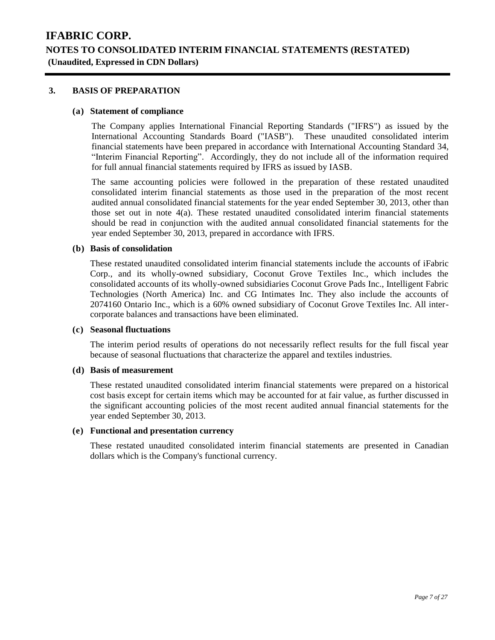### **3. BASIS OF PREPARATION**

#### **(a) Statement of compliance**

The Company applies International Financial Reporting Standards ("IFRS") as issued by the International Accounting Standards Board ("IASB"). These unaudited consolidated interim financial statements have been prepared in accordance with International Accounting Standard 34, "Interim Financial Reporting". Accordingly, they do not include all of the information required for full annual financial statements required by IFRS as issued by IASB.

The same accounting policies were followed in the preparation of these restated unaudited consolidated interim financial statements as those used in the preparation of the most recent audited annual consolidated financial statements for the year ended September 30, 2013, other than those set out in note 4(a). These restated unaudited consolidated interim financial statements should be read in conjunction with the audited annual consolidated financial statements for the year ended September 30, 2013, prepared in accordance with IFRS.

### **(b) Basis of consolidation**

These restated unaudited consolidated interim financial statements include the accounts of iFabric Corp., and its wholly-owned subsidiary, Coconut Grove Textiles Inc., which includes the consolidated accounts of its wholly-owned subsidiaries Coconut Grove Pads Inc., Intelligent Fabric Technologies (North America) Inc. and CG Intimates Inc. They also include the accounts of 2074160 Ontario Inc., which is a 60% owned subsidiary of Coconut Grove Textiles Inc. All intercorporate balances and transactions have been eliminated.

#### **(c) Seasonal fluctuations**

The interim period results of operations do not necessarily reflect results for the full fiscal year because of seasonal fluctuations that characterize the apparel and textiles industries.

#### **(d) Basis of measurement**

These restated unaudited consolidated interim financial statements were prepared on a historical cost basis except for certain items which may be accounted for at fair value, as further discussed in the significant accounting policies of the most recent audited annual financial statements for the year ended September 30, 2013.

### **(e) Functional and presentation currency**

These restated unaudited consolidated interim financial statements are presented in Canadian dollars which is the Company's functional currency.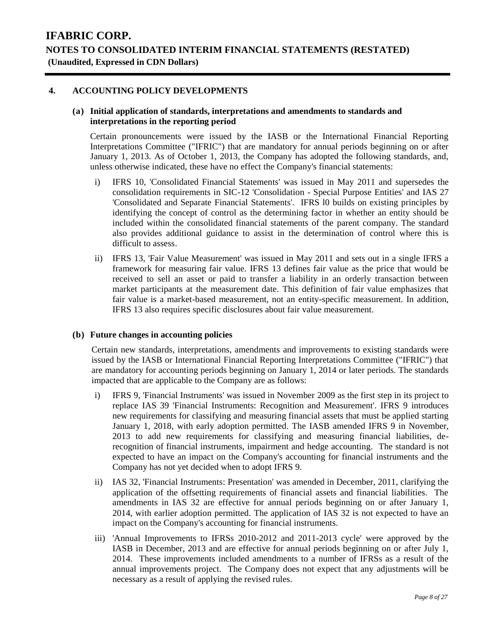### **4. ACCOUNTING POLICY DEVELOPMENTS**

#### **(a) Initial application of standards, interpretations and amendments to standards and interpretations in the reporting period**

Certain pronouncements were issued by the IASB or the International Financial Reporting Interpretations Committee ("IFRIC") that are mandatory for annual periods beginning on or after January 1, 2013. As of October 1, 2013, the Company has adopted the following standards, and, unless otherwise indicated, these have no effect the Company's financial statements:

- i) IFRS 10, 'Consolidated Financial Statements' was issued in May 2011 and supersedes the consolidation requirements in SIC-12 'Consolidation - Special Purpose Entities' and IAS 27 'Consolidated and Separate Financial Statements'. IFRS l0 builds on existing principles by identifying the concept of control as the determining factor in whether an entity should be included within the consolidated financial statements of the parent company. The standard also provides additional guidance to assist in the determination of control where this is difficult to assess.
- ii) IFRS 13, 'Fair Value Measurement' was issued in May 2011 and sets out in a single IFRS a framework for measuring fair value. IFRS 13 defines fair value as the price that would be received to sell an asset or paid to transfer a liability in an orderly transaction between market participants at the measurement date. This definition of fair value emphasizes that fair value is a market-based measurement, not an entity-specific measurement. In addition, IFRS 13 also requires specific disclosures about fair value measurement.

#### **(b) Future changes in accounting policies**

Certain new standards, interpretations, amendments and improvements to existing standards were issued by the IASB or International Financial Reporting Interpretations Committee ("IFRIC") that are mandatory for accounting periods beginning on January 1, 2014 or later periods. The standards impacted that are applicable to the Company are as follows:

- i) IFRS 9, 'Financial Instruments' was issued in November 2009 as the first step in its project to replace IAS 39 'Financial Instruments: Recognition and Measurement'. IFRS 9 introduces new requirements for classifying and measuring financial assets that must be applied starting January 1, 2018, with early adoption permitted. The IASB amended IFRS 9 in November, 2013 to add new requirements for classifying and measuring financial liabilities, derecognition of financial instruments, impairment and hedge accounting. The standard is not expected to have an impact on the Company's accounting for financial instruments and the Company has not yet decided when to adopt IFRS 9.
- ii) IAS 32, 'Financial Instruments: Presentation' was amended in December, 2011, clarifying the application of the offsetting requirements of financial assets and financial liabilities. The amendments in IAS 32 are effective for annual periods beginning on or after January 1, 2014, with earlier adoption permitted. The application of IAS 32 is not expected to have an impact on the Company's accounting for financial instruments.
- iii) 'Annual Improvements to IFRSs 2010-2012 and 2011-2013 cycle' were approved by the IASB in December, 2013 and are effective for annual periods beginning on or after July 1, 2014. These improvements included amendments to a number of IFRSs as a result of the annual improvements project. The Company does not expect that any adjustments will be necessary as a result of applying the revised rules.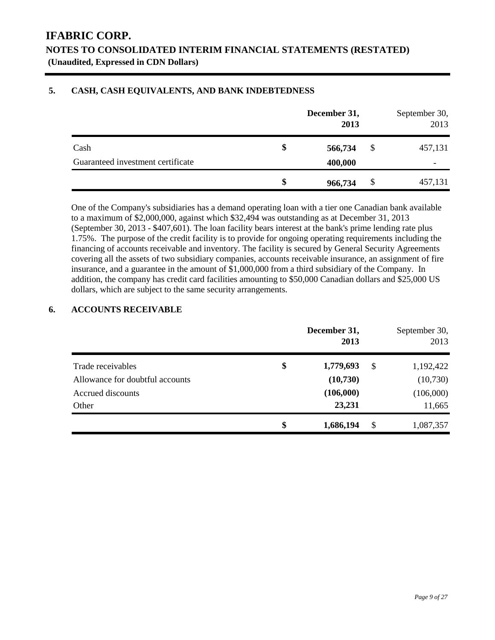### **5. CASH, CASH EQUIVALENTS, AND BANK INDEBTEDNESS**

|                                   | December 31,<br>2013 |    | September 30,<br>2013 |
|-----------------------------------|----------------------|----|-----------------------|
| Cash                              | \$<br>566,734        | \$ | 457,131               |
| Guaranteed investment certificate | 400,000              |    |                       |
|                                   | \$<br>966,734        | S  | 457,131               |

One of the Company's subsidiaries has a demand operating loan with a tier one Canadian bank available to a maximum of \$2,000,000, against which \$32,494 was outstanding as at December 31, 2013 (September 30, 2013 - \$407,601). The loan facility bears interest at the bank's prime lending rate plus 1.75%. The purpose of the credit facility is to provide for ongoing operating requirements including the financing of accounts receivable and inventory. The facility is secured by General Security Agreements covering all the assets of two subsidiary companies, accounts receivable insurance, an assignment of fire insurance, and a guarantee in the amount of \$1,000,000 from a third subsidiary of the Company. In addition, the company has credit card facilities amounting to \$50,000 Canadian dollars and \$25,000 US dollars, which are subject to the same security arrangements.

### **6. ACCOUNTS RECEIVABLE**

|                                 | December 31,<br>2013 |    | September 30,<br>2013 |
|---------------------------------|----------------------|----|-----------------------|
| Trade receivables               | \$<br>1,779,693      | \$ | 1,192,422             |
| Allowance for doubtful accounts | (10,730)             |    | (10,730)              |
| Accrued discounts               | (106,000)            |    | (106,000)             |
| Other                           | 23,231               |    | 11,665                |
|                                 | \$<br>1,686,194      | S  | 1,087,357             |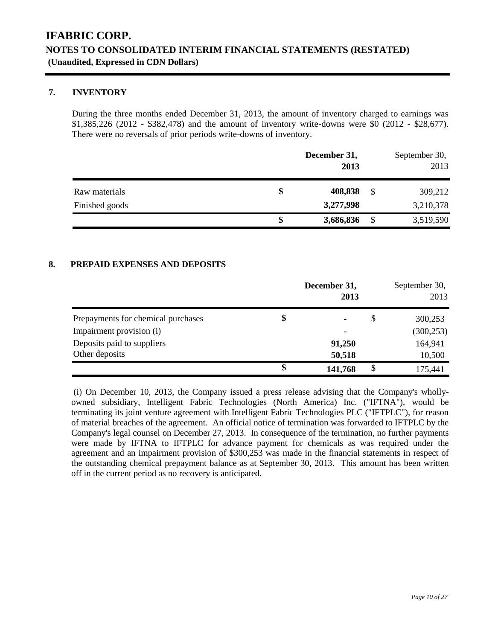### **7. INVENTORY**

During the three months ended December 31, 2013, the amount of inventory charged to earnings was \$1,385,226 (2012 - \$382,478) and the amount of inventory write-downs were \$0 (2012 - \$28,677). There were no reversals of prior periods write-downs of inventory.

|                | December 31,<br>2013 |    | September 30,<br>2013 |
|----------------|----------------------|----|-----------------------|
| Raw materials  | \$<br>408,838        | \$ | 309,212               |
| Finished goods | 3,277,998            |    | 3,210,378             |
|                | \$<br>3,686,836      | S  | 3,519,590             |

### **8. PREPAID EXPENSES AND DEPOSITS**

|                                    | December 31,<br>2013 | September 30,<br>2013 |
|------------------------------------|----------------------|-----------------------|
| Prepayments for chemical purchases | \$<br>۰              | \$<br>300,253         |
| Impairment provision (i)           |                      | (300, 253)            |
| Deposits paid to suppliers         | 91,250               | 164,941               |
| Other deposits                     | 50,518               | 10,500                |
|                                    | \$<br>141,768        | \$<br>175,441         |

(i) On December 10, 2013, the Company issued a press release advising that the Company's whollyowned subsidiary, Intelligent Fabric Technologies (North America) Inc. ("IFTNA"), would be terminating its joint venture agreement with Intelligent Fabric Technologies PLC ("IFTPLC"), for reason of material breaches of the agreement. An official notice of termination was forwarded to IFTPLC by the Company's legal counsel on December 27, 2013. In consequence of the termination, no further payments were made by IFTNA to IFTPLC for advance payment for chemicals as was required under the agreement and an impairment provision of \$300,253 was made in the financial statements in respect of the outstanding chemical prepayment balance as at September 30, 2013. This amount has been written off in the current period as no recovery is anticipated.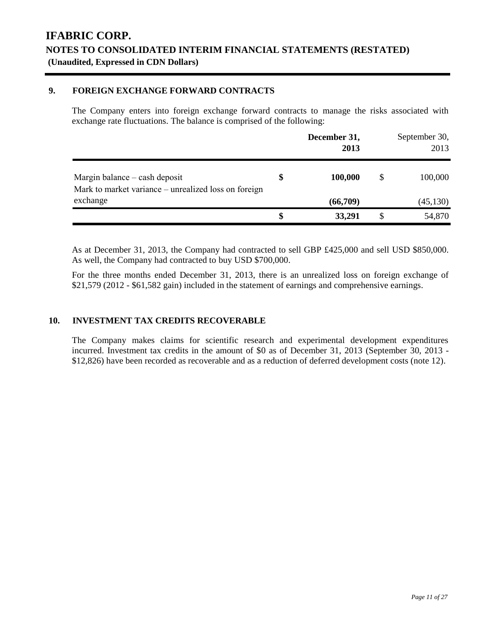### **9. FOREIGN EXCHANGE FORWARD CONTRACTS**

The Company enters into foreign exchange forward contracts to manage the risks associated with exchange rate fluctuations. The balance is comprised of the following:

|                                                                                       | December 31,<br>2013 | September 30,<br>2013 |
|---------------------------------------------------------------------------------------|----------------------|-----------------------|
| Margin balance – cash deposit<br>Mark to market variance – unrealized loss on foreign | 100,000              | \$<br>100,000         |
| exchange                                                                              | (66,709)             | (45, 130)             |
|                                                                                       | 33,291               | 54,870                |

As at December 31, 2013, the Company had contracted to sell GBP £425,000 and sell USD \$850,000. As well, the Company had contracted to buy USD \$700,000.

For the three months ended December 31, 2013, there is an unrealized loss on foreign exchange of \$21,579 (2012 - \$61,582 gain) included in the statement of earnings and comprehensive earnings.

### **10. INVESTMENT TAX CREDITS RECOVERABLE**

The Company makes claims for scientific research and experimental development expenditures incurred. Investment tax credits in the amount of \$0 as of December 31, 2013 (September 30, 2013 - \$12,826) have been recorded as recoverable and as a reduction of deferred development costs (note 12).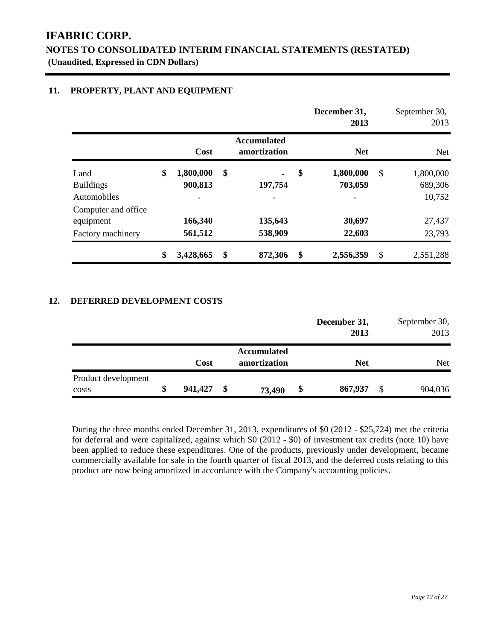### **11. PROPERTY, PLANT AND EQUIPMENT**

|                     |                 |                                    | December 31,<br>2013 |               | September 30,<br>2013 |
|---------------------|-----------------|------------------------------------|----------------------|---------------|-----------------------|
|                     | Cost            | <b>Accumulated</b><br>amortization | <b>Net</b>           |               | Net                   |
| Land                | \$<br>1,800,000 | \$                                 | \$<br>1,800,000      | $\mathcal{S}$ | 1,800,000             |
| <b>Buildings</b>    | 900,813         | 197,754                            | 703,059              |               | 689,306               |
| Automobiles         |                 |                                    | ۰                    |               | 10,752                |
| Computer and office |                 |                                    |                      |               |                       |
| equipment           | 166,340         | 135,643                            | 30,697               |               | 27,437                |
| Factory machinery   | 561,512         | 538,909                            | 22,603               |               | 23,793                |
|                     | \$<br>3,428,665 | \$<br>872,306                      | \$<br>2,556,359      | \$            | 2,551,288             |

### **12. DEFERRED DEVELOPMENT COSTS**

|                     |               |                    | December 31,<br>2013 |   | September 30,<br>2013 |
|---------------------|---------------|--------------------|----------------------|---|-----------------------|
|                     |               | <b>Accumulated</b> |                      |   |                       |
|                     | Cost          | amortization       | <b>Net</b>           |   | <b>Net</b>            |
| Product development |               |                    |                      |   |                       |
| costs               | \$<br>941,427 | \$<br>73,490       | \$<br>867,937        | S | 904,036               |

During the three months ended December 31, 2013, expenditures of \$0 (2012 - \$25,724) met the criteria for deferral and were capitalized, against which \$0 (2012 - \$0) of investment tax credits (note 10) have been applied to reduce these expenditures. One of the products, previously under development, became commercially available for sale in the fourth quarter of fiscal 2013, and the deferred costs relating to this product are now being amortized in accordance with the Company's accounting policies.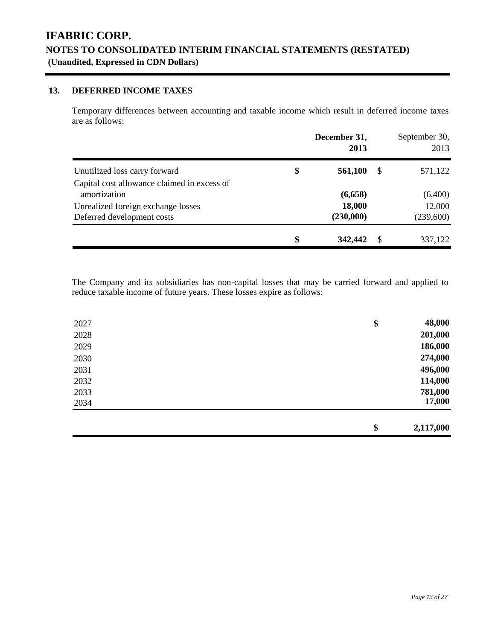### **13. DEFERRED INCOME TAXES**

Temporary differences between accounting and taxable income which result in deferred income taxes are as follows:

|                                             | December 31,<br>2013 |    | September 30,<br>2013 |
|---------------------------------------------|----------------------|----|-----------------------|
| Unutilized loss carry forward               | \$<br>561,100        | -S | 571,122               |
| Capital cost allowance claimed in excess of |                      |    |                       |
| amortization                                | (6,658)              |    | (6,400)               |
| Unrealized foreign exchange losses          | 18,000               |    | 12,000                |
| Deferred development costs                  | (230,000)            |    | (239,600)             |
|                                             | \$<br>342,442        | S. | 337,122               |

The Company and its subsidiaries has non-capital losses that may be carried forward and applied to reduce taxable income of future years. These losses expire as follows:

| 2027 | \$<br>48,000    |
|------|-----------------|
| 2028 | 201,000         |
| 2029 | 186,000         |
| 2030 | 274,000         |
| 2031 | 496,000         |
| 2032 | 114,000         |
| 2033 | 781,000         |
| 2034 | 17,000          |
|      |                 |
|      | \$<br>2,117,000 |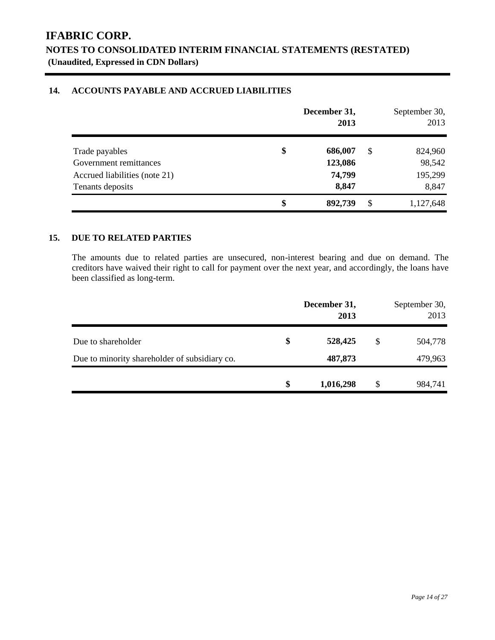### **14. ACCOUNTS PAYABLE AND ACCRUED LIABILITIES**

|                               | December 31,<br>2013 |    | September 30,<br>2013 |
|-------------------------------|----------------------|----|-----------------------|
| Trade payables                | \$<br>686,007        | S  | 824,960               |
| Government remittances        | 123,086              |    | 98,542                |
| Accrued liabilities (note 21) | 74,799               |    | 195,299               |
| Tenants deposits              | 8,847                |    | 8,847                 |
|                               | \$<br>892,739        | \$ | 1,127,648             |

### **15. DUE TO RELATED PARTIES**

The amounts due to related parties are unsecured, non-interest bearing and due on demand. The creditors have waived their right to call for payment over the next year, and accordingly, the loans have been classified as long-term.

|                                               | December 31,<br>2013 | September 30,<br>2013 |
|-----------------------------------------------|----------------------|-----------------------|
| Due to shareholder                            | \$<br>528,425        | \$<br>504,778         |
| Due to minority shareholder of subsidiary co. | 487,873              | 479,963               |
|                                               | \$<br>1,016,298      | \$<br>984,741         |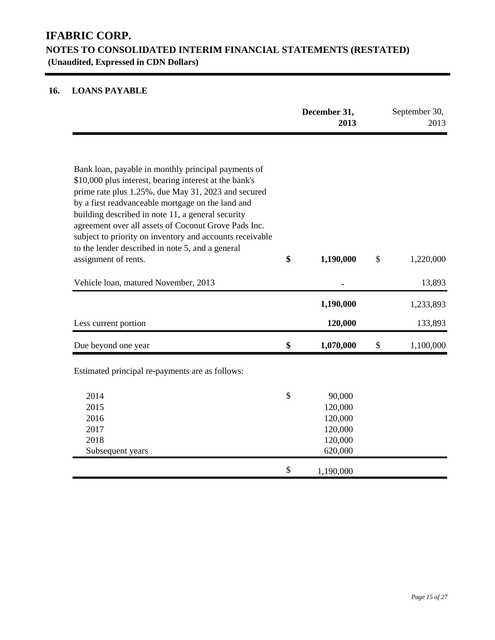### **16. LOANS PAYABLE**

|                                                                                                                                                                                                                                                                                                                                                                                                                                                        | December 31,<br>2013 |                                                               |               | September 30,<br>2013 |
|--------------------------------------------------------------------------------------------------------------------------------------------------------------------------------------------------------------------------------------------------------------------------------------------------------------------------------------------------------------------------------------------------------------------------------------------------------|----------------------|---------------------------------------------------------------|---------------|-----------------------|
| Bank loan, payable in monthly principal payments of<br>\$10,000 plus interest, bearing interest at the bank's<br>prime rate plus 1.25%, due May 31, 2023 and secured<br>by a first readvanceable mortgage on the land and<br>building described in note 11, a general security<br>agreement over all assets of Coconut Grove Pads Inc.<br>subject to priority on inventory and accounts receivable<br>to the lender described in note 5, and a general |                      |                                                               |               |                       |
| assignment of rents.                                                                                                                                                                                                                                                                                                                                                                                                                                   | \$                   | 1,190,000                                                     | $\mathcal{S}$ | 1,220,000             |
| Vehicle loan, matured November, 2013                                                                                                                                                                                                                                                                                                                                                                                                                   |                      |                                                               |               | 13,893                |
|                                                                                                                                                                                                                                                                                                                                                                                                                                                        |                      | 1,190,000                                                     |               | 1,233,893             |
| Less current portion                                                                                                                                                                                                                                                                                                                                                                                                                                   |                      | 120,000                                                       |               | 133,893               |
| Due beyond one year                                                                                                                                                                                                                                                                                                                                                                                                                                    | \$                   | 1,070,000                                                     | \$            | 1,100,000             |
| Estimated principal re-payments are as follows:                                                                                                                                                                                                                                                                                                                                                                                                        |                      |                                                               |               |                       |
| 2014<br>2015<br>2016<br>2017<br>2018<br>Subsequent years                                                                                                                                                                                                                                                                                                                                                                                               | \$                   | 90,000<br>120,000<br>120,000<br>120,000<br>120,000<br>620,000 |               |                       |
|                                                                                                                                                                                                                                                                                                                                                                                                                                                        | \$                   | 1,190,000                                                     |               |                       |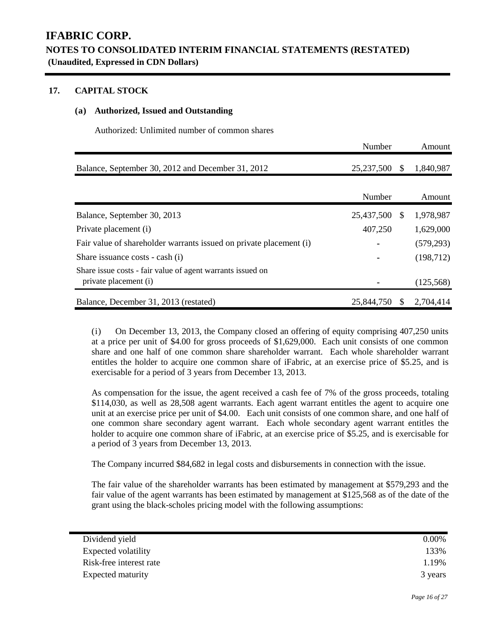### **17. CAPITAL STOCK**

### **(a) Authorized, Issued and Outstanding**

Authorized: Unlimited number of common shares

|                                                                                     | Number     |               | Amount     |  |
|-------------------------------------------------------------------------------------|------------|---------------|------------|--|
| Balance, September 30, 2012 and December 31, 2012                                   | 25,237,500 | <sup>\$</sup> | 1,840,987  |  |
|                                                                                     | Number     |               | Amount     |  |
| Balance, September 30, 2013                                                         | 25,437,500 | -S            | 1,978,987  |  |
| Private placement (i)                                                               | 407,250    |               | 1,629,000  |  |
| Fair value of shareholder warrants issued on private placement (i)                  |            |               | (579, 293) |  |
| Share issuance costs - cash (i)                                                     |            |               | (198, 712) |  |
| Share issue costs - fair value of agent warrants issued on<br>private placement (i) |            |               | (125, 568) |  |
| Balance, December 31, 2013 (restated)                                               | 25,844,750 | <sup>S</sup>  | 2,704,414  |  |

(i) On December 13, 2013, the Company closed an offering of equity comprising 407,250 units at a price per unit of \$4.00 for gross proceeds of \$1,629,000. Each unit consists of one common share and one half of one common share shareholder warrant. Each whole shareholder warrant entitles the holder to acquire one common share of iFabric, at an exercise price of \$5.25, and is exercisable for a period of 3 years from December 13, 2013.

As compensation for the issue, the agent received a cash fee of 7% of the gross proceeds, totaling \$114,030, as well as 28,508 agent warrants. Each agent warrant entitles the agent to acquire one unit at an exercise price per unit of \$4.00. Each unit consists of one common share, and one half of one common share secondary agent warrant. Each whole secondary agent warrant entitles the holder to acquire one common share of iFabric, at an exercise price of \$5.25, and is exercisable for a period of 3 years from December 13, 2013.

The Company incurred \$84,682 in legal costs and disbursements in connection with the issue.

The fair value of the shareholder warrants has been estimated by management at \$579,293 and the fair value of the agent warrants has been estimated by management at \$125,568 as of the date of the grant using the black-scholes pricing model with the following assumptions:

| Dividend yield           | $0.00\%$ |
|--------------------------|----------|
| Expected volatility      | 133%     |
| Risk-free interest rate  | 1.19%    |
| <b>Expected maturity</b> | 3 years  |
|                          |          |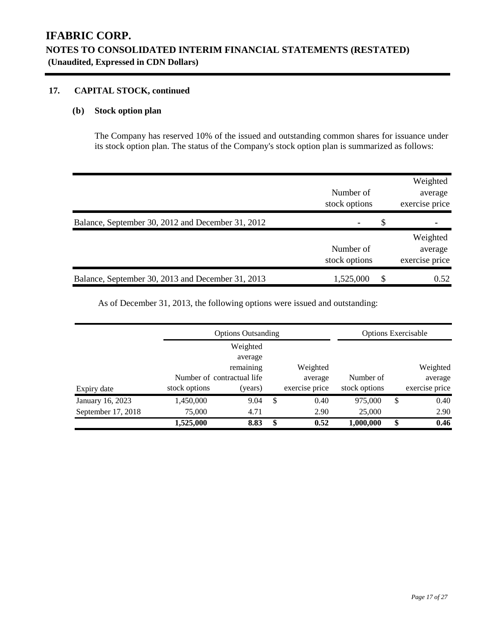### **17. CAPITAL STOCK, continued**

### **(b) Stock option plan**

The Company has reserved 10% of the issued and outstanding common shares for issuance under its stock option plan. The status of the Company's stock option plan is summarized as follows:

|                                                   | Number of<br>stock options |   | Weighted<br>average<br>exercise price |
|---------------------------------------------------|----------------------------|---|---------------------------------------|
| Balance, September 30, 2012 and December 31, 2012 | ۰                          | S |                                       |
|                                                   | Number of<br>stock options |   | Weighted<br>average<br>exercise price |
| Balance, September 30, 2013 and December 31, 2013 | 1,525,000                  | S | 0.52                                  |

As of December 31, 2013, the following options were issued and outstanding:

|                    |               | <b>Options Outsanding</b>  |    |                | <b>Options Exercisable</b> |                |
|--------------------|---------------|----------------------------|----|----------------|----------------------------|----------------|
|                    |               | Weighted                   |    |                |                            |                |
|                    |               | average                    |    |                |                            |                |
|                    |               | remaining                  |    | Weighted       |                            | Weighted       |
|                    |               | Number of contractual life |    | average        | Number of                  | average        |
| Expiry date        | stock options | (years)                    |    | exercise price | stock options              | exercise price |
| January 16, 2023   | 1,450,000     | 9.04                       | S  | 0.40           | 975,000                    | \$<br>0.40     |
| September 17, 2018 | 75,000        | 4.71                       |    | 2.90           | 25,000                     | 2.90           |
|                    | 1,525,000     | 8.83                       | \$ | 0.52           | 1,000,000                  | \$<br>0.46     |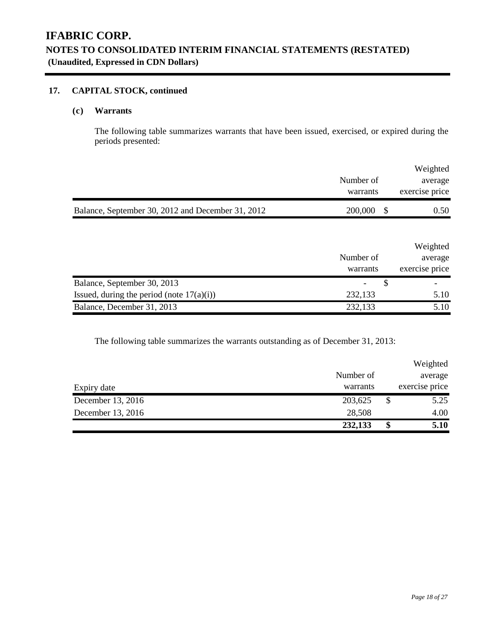### **17. CAPITAL STOCK, continued**

### **(c) Warrants**

The following table summarizes warrants that have been issued, exercised, or expired during the periods presented:

|                                                   |           | Weighted             |
|---------------------------------------------------|-----------|----------------------|
|                                                   | Number of | average              |
|                                                   | warrants  | exercise price       |
| Balance, September 30, 2012 and December 31, 2012 | 200,000   | 0.50<br><sup>S</sup> |

|                                              |           | Weighted       |
|----------------------------------------------|-----------|----------------|
|                                              | Number of | average        |
|                                              | warrants  | exercise price |
| Balance, September 30, 2013                  |           |                |
|                                              |           |                |
| Issued, during the period (note $17(a)(i)$ ) | 232,133   | 5.10           |

The following table summarizes the warrants outstanding as of December 31, 2013:

|                   | 232,133   | \$<br>5.10     |
|-------------------|-----------|----------------|
| December 13, 2016 | 28,508    | 4.00           |
| December 13, 2016 | 203,625   | \$<br>5.25     |
| Expiry date       | warrants  | exercise price |
|                   | Number of | average        |
|                   |           | Weighted       |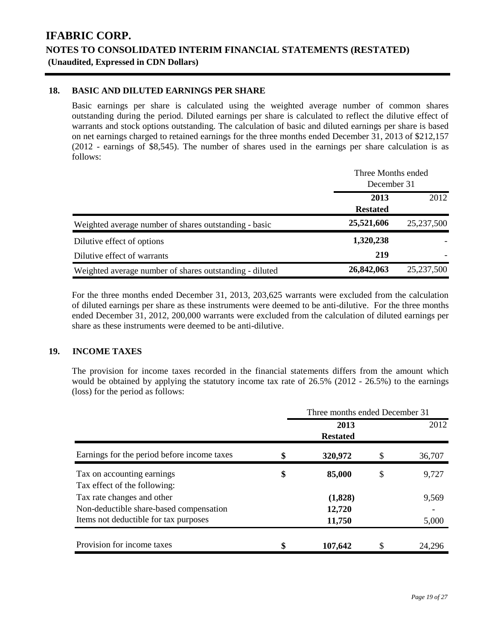### **18. BASIC AND DILUTED EARNINGS PER SHARE**

Basic earnings per share is calculated using the weighted average number of common shares outstanding during the period. Diluted earnings per share is calculated to reflect the dilutive effect of warrants and stock options outstanding. The calculation of basic and diluted earnings per share is based on net earnings charged to retained earnings for the three months ended December 31, 2013 of \$212,157 (2012 - earnings of \$8,545). The number of shares used in the earnings per share calculation is as follows:

|                                                         | Three Months ended<br>December 31 |            |  |
|---------------------------------------------------------|-----------------------------------|------------|--|
|                                                         | 2013<br><b>Restated</b>           | 2012       |  |
| Weighted average number of shares outstanding - basic   | 25,521,606                        | 25,237,500 |  |
| Dilutive effect of options                              | 1,320,238                         |            |  |
| Dilutive effect of warrants                             | 219                               |            |  |
| Weighted average number of shares outstanding - diluted | 26,842,063                        | 25,237,500 |  |

For the three months ended December 31, 2013, 203,625 warrants were excluded from the calculation of diluted earnings per share as these instruments were deemed to be anti-dilutive. For the three months ended December 31, 2012, 200,000 warrants were excluded from the calculation of diluted earnings per share as these instruments were deemed to be anti-dilutive.

### **19. INCOME TAXES**

The provision for income taxes recorded in the financial statements differs from the amount which would be obtained by applying the statutory income tax rate of 26.5% (2012 - 26.5%) to the earnings (loss) for the period as follows:

|                                             | Three months ended December 31 |                 |    |        |  |  |  |
|---------------------------------------------|--------------------------------|-----------------|----|--------|--|--|--|
|                                             |                                | 2013            |    | 2012   |  |  |  |
|                                             |                                | <b>Restated</b> |    |        |  |  |  |
| Earnings for the period before income taxes | \$                             | 320,972         |    | 36,707 |  |  |  |
| Tax on accounting earnings                  | \$                             | 85,000          | \$ | 9,727  |  |  |  |
| Tax effect of the following:                |                                |                 |    |        |  |  |  |
| Tax rate changes and other                  |                                | (1,828)         |    | 9,569  |  |  |  |
| Non-deductible share-based compensation     |                                | 12,720          |    |        |  |  |  |
| Items not deductible for tax purposes       |                                | 11,750          |    | 5,000  |  |  |  |
|                                             |                                |                 |    |        |  |  |  |
| Provision for income taxes                  | \$                             | 107,642         |    | 24.296 |  |  |  |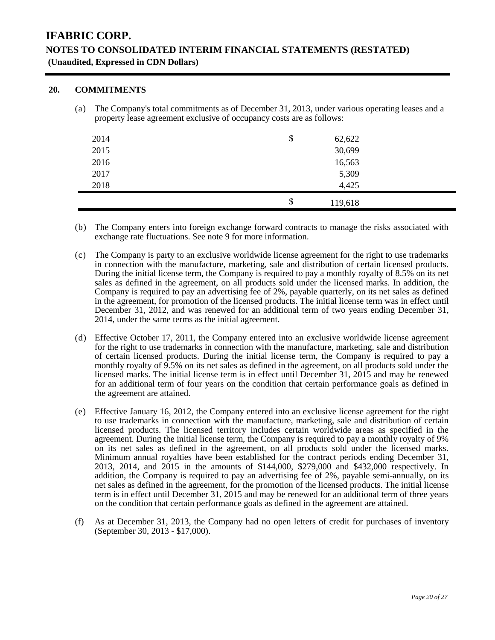### **20. COMMITMENTS**

(a) The Company's total commitments as of December 31, 2013, under various operating leases and a property lease agreement exclusive of occupancy costs are as follows:

| 2014 | \$<br>62,622  |  |
|------|---------------|--|
| 2015 | 30,699        |  |
| 2016 | 16,563        |  |
| 2017 | 5,309         |  |
| 2018 | 4,425         |  |
|      | \$<br>119,618 |  |

- (b) The Company enters into foreign exchange forward contracts to manage the risks associated with exchange rate fluctuations. See note 9 for more information.
- (c) The Company is party to an exclusive worldwide license agreement for the right to use trademarks in connection with the manufacture, marketing, sale and distribution of certain licensed products. During the initial license term, the Company is required to pay a monthly royalty of 8.5% on its net sales as defined in the agreement, on all products sold under the licensed marks. In addition, the Company is required to pay an advertising fee of 2%, payable quarterly, on its net sales as defined in the agreement, for promotion of the licensed products. The initial license term was in effect until December 31, 2012, and was renewed for an additional term of two years ending December 31, 2014, under the same terms as the initial agreement.
- (d) Effective October 17, 2011, the Company entered into an exclusive worldwide license agreement for the right to use trademarks in connection with the manufacture, marketing, sale and distribution of certain licensed products. During the initial license term, the Company is required to pay a monthly royalty of 9.5% on its net sales as defined in the agreement, on all products sold under the licensed marks. The initial license term is in effect until December 31, 2015 and may be renewed for an additional term of four years on the condition that certain performance goals as defined in the agreement are attained.
- (e) Effective January 16, 2012, the Company entered into an exclusive license agreement for the right to use trademarks in connection with the manufacture, marketing, sale and distribution of certain licensed products. The licensed territory includes certain worldwide areas as specified in the agreement. During the initial license term, the Company is required to pay a monthly royalty of 9% on its net sales as defined in the agreement, on all products sold under the licensed marks. Minimum annual royalties have been established for the contract periods ending December 31, 2013, 2014, and 2015 in the amounts of \$144,000, \$279,000 and \$432,000 respectively. In addition, the Company is required to pay an advertising fee of 2%, payable semi-annually, on its net sales as defined in the agreement, for the promotion of the licensed products. The initial license term is in effect until December 31, 2015 and may be renewed for an additional term of three years on the condition that certain performance goals as defined in the agreement are attained.
- (f) As at December 31, 2013, the Company had no open letters of credit for purchases of inventory (September 30, 2013 - \$17,000).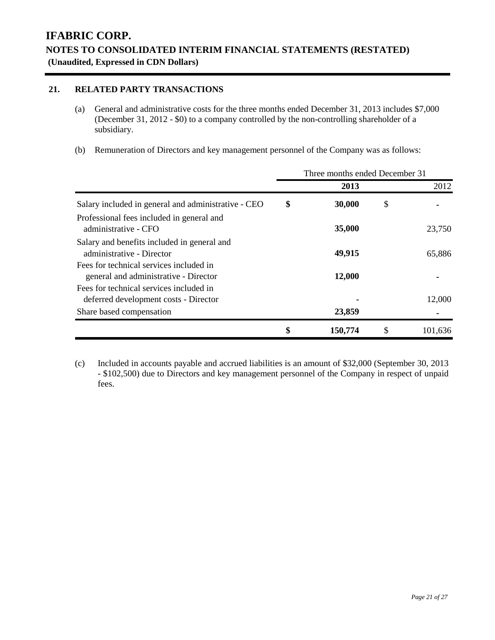### **21. RELATED PARTY TRANSACTIONS**

- (a) General and administrative costs for the three months ended December 31, 2013 includes \$7,000 (December 31, 2012 - \$0) to a company controlled by the non-controlling shareholder of a subsidiary.
- (b) Remuneration of Directors and key management personnel of the Company was as follows:

|                                                                                  | Three months ended December 31 |         |    |         |  |  |
|----------------------------------------------------------------------------------|--------------------------------|---------|----|---------|--|--|
|                                                                                  |                                | 2013    |    | 2012    |  |  |
| Salary included in general and administrative - CEO                              | \$                             | 30,000  | \$ |         |  |  |
| Professional fees included in general and<br>administrative - CFO                |                                | 35,000  |    | 23,750  |  |  |
| Salary and benefits included in general and<br>administrative - Director         |                                | 49,915  |    | 65,886  |  |  |
| Fees for technical services included in<br>general and administrative - Director |                                | 12,000  |    |         |  |  |
| Fees for technical services included in<br>deferred development costs - Director |                                |         |    | 12,000  |  |  |
| Share based compensation                                                         |                                | 23,859  |    |         |  |  |
|                                                                                  | \$                             | 150,774 | \$ | 101,636 |  |  |

(c) Included in accounts payable and accrued liabilities is an amount of \$32,000 (September 30, 2013 - \$102,500) due to Directors and key management personnel of the Company in respect of unpaid fees.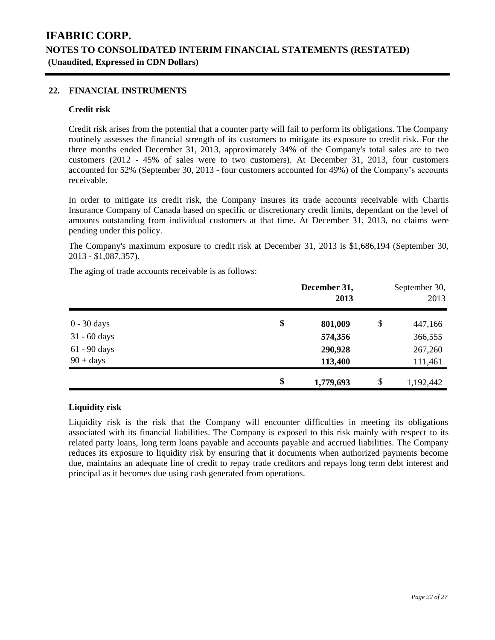### **22. FINANCIAL INSTRUMENTS**

#### **Credit risk**

Credit risk arises from the potential that a counter party will fail to perform its obligations. The Company routinely assesses the financial strength of its customers to mitigate its exposure to credit risk. For the three months ended December 31, 2013, approximately 34% of the Company's total sales are to two customers (2012 - 45% of sales were to two customers). At December 31, 2013, four customers accounted for 52% (September 30, 2013 - four customers accounted for 49%) of the Company's accounts receivable.

In order to mitigate its credit risk, the Company insures its trade accounts receivable with Chartis Insurance Company of Canada based on specific or discretionary credit limits, dependant on the level of amounts outstanding from individual customers at that time. At December 31, 2013, no claims were pending under this policy.

The Company's maximum exposure to credit risk at December 31, 2013 is \$1,686,194 (September 30, 2013 - \$1,087,357).

The aging of trade accounts receivable is as follows:

|                | December 31,<br>2013 | September 30,<br>2013 |  |
|----------------|----------------------|-----------------------|--|
| $0 - 30$ days  | \$<br>801,009        | \$<br>447,166         |  |
| $31 - 60$ days | 574,356              | 366,555               |  |
| 61 - 90 days   | 290,928              | 267,260               |  |
| $90 + days$    | 113,400              | 111,461               |  |
|                | \$<br>1,779,693      | \$<br>1,192,442       |  |

#### **Liquidity risk**

Liquidity risk is the risk that the Company will encounter difficulties in meeting its obligations associated with its financial liabilities. The Company is exposed to this risk mainly with respect to its related party loans, long term loans payable and accounts payable and accrued liabilities. The Company reduces its exposure to liquidity risk by ensuring that it documents when authorized payments become due, maintains an adequate line of credit to repay trade creditors and repays long term debt interest and principal as it becomes due using cash generated from operations.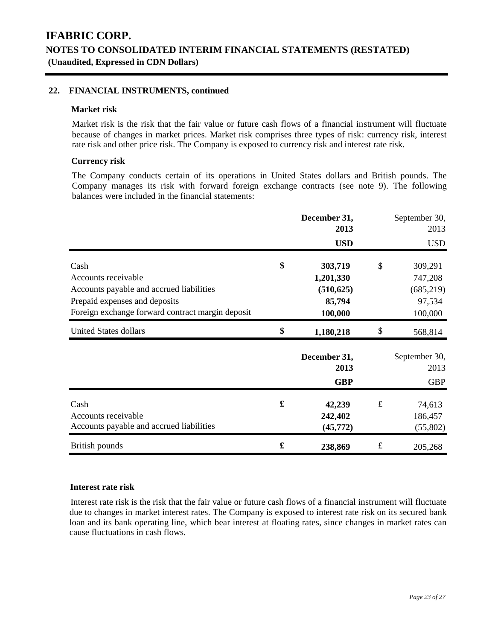### **22. FINANCIAL INSTRUMENTS, continued**

#### **Market risk**

Market risk is the risk that the fair value or future cash flows of a financial instrument will fluctuate because of changes in market prices. Market risk comprises three types of risk: currency risk, interest rate risk and other price risk. The Company is exposed to currency risk and interest rate risk.

### **Currency risk**

The Company conducts certain of its operations in United States dollars and British pounds. The Company manages its risk with forward foreign exchange contracts (see note 9). The following balances were included in the financial statements:

|                                                  |    | December 31,<br>2013 |           | September 30,<br>2013 |
|--------------------------------------------------|----|----------------------|-----------|-----------------------|
|                                                  |    | <b>USD</b>           |           | <b>USD</b>            |
| Cash                                             | \$ | 303,719              | \$        | 309,291               |
| Accounts receivable                              |    | 1,201,330            |           | 747,208               |
| Accounts payable and accrued liabilities         |    | (510, 625)           |           | (685, 219)            |
| Prepaid expenses and deposits                    |    | 85,794               |           | 97,534                |
| Foreign exchange forward contract margin deposit |    | 100,000              |           | 100,000               |
| <b>United States dollars</b>                     | \$ | 1,180,218            | \$        | 568,814               |
|                                                  |    | December 31,<br>2013 |           | September 30,<br>2013 |
|                                                  |    | <b>GBP</b>           |           | <b>GBP</b>            |
| Cash                                             | £  | 42,239               | $\pounds$ | 74,613                |
| Accounts receivable                              |    | 242,402              |           | 186,457               |
| Accounts payable and accrued liabilities         |    | (45, 772)            |           | (55,802)              |
| British pounds                                   | £  | 238,869              | $\pounds$ | 205,268               |

#### **Interest rate risk**

Interest rate risk is the risk that the fair value or future cash flows of a financial instrument will fluctuate due to changes in market interest rates. The Company is exposed to interest rate risk on its secured bank loan and its bank operating line, which bear interest at floating rates, since changes in market rates can cause fluctuations in cash flows.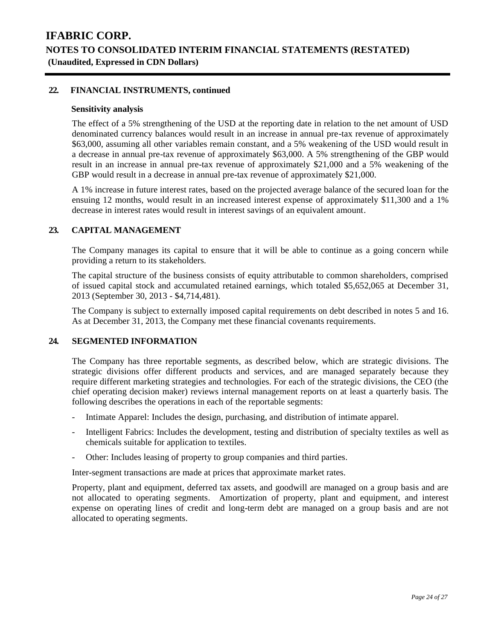### **22. FINANCIAL INSTRUMENTS, continued**

#### **Sensitivity analysis**

The effect of a 5% strengthening of the USD at the reporting date in relation to the net amount of USD denominated currency balances would result in an increase in annual pre-tax revenue of approximately \$63,000, assuming all other variables remain constant, and a 5% weakening of the USD would result in a decrease in annual pre-tax revenue of approximately \$63,000. A 5% strengthening of the GBP would result in an increase in annual pre-tax revenue of approximately \$21,000 and a 5% weakening of the GBP would result in a decrease in annual pre-tax revenue of approximately \$21,000.

A 1% increase in future interest rates, based on the projected average balance of the secured loan for the ensuing 12 months, would result in an increased interest expense of approximately \$11,300 and a 1% decrease in interest rates would result in interest savings of an equivalent amount.

#### **23. CAPITAL MANAGEMENT**

The Company manages its capital to ensure that it will be able to continue as a going concern while providing a return to its stakeholders.

The capital structure of the business consists of equity attributable to common shareholders, comprised of issued capital stock and accumulated retained earnings, which totaled \$5,652,065 at December 31, 2013 (September 30, 2013 - \$4,714,481).

The Company is subject to externally imposed capital requirements on debt described in notes 5 and 16. As at December 31, 2013, the Company met these financial covenants requirements.

#### **24. SEGMENTED INFORMATION**

The Company has three reportable segments, as described below, which are strategic divisions. The strategic divisions offer different products and services, and are managed separately because they require different marketing strategies and technologies. For each of the strategic divisions, the CEO (the chief operating decision maker) reviews internal management reports on at least a quarterly basis. The following describes the operations in each of the reportable segments:

- Intimate Apparel: Includes the design, purchasing, and distribution of intimate apparel.
- Intelligent Fabrics: Includes the development, testing and distribution of specialty textiles as well as chemicals suitable for application to textiles.
- Other: Includes leasing of property to group companies and third parties.

Inter-segment transactions are made at prices that approximate market rates.

Property, plant and equipment, deferred tax assets, and goodwill are managed on a group basis and are not allocated to operating segments. Amortization of property, plant and equipment, and interest expense on operating lines of credit and long-term debt are managed on a group basis and are not allocated to operating segments.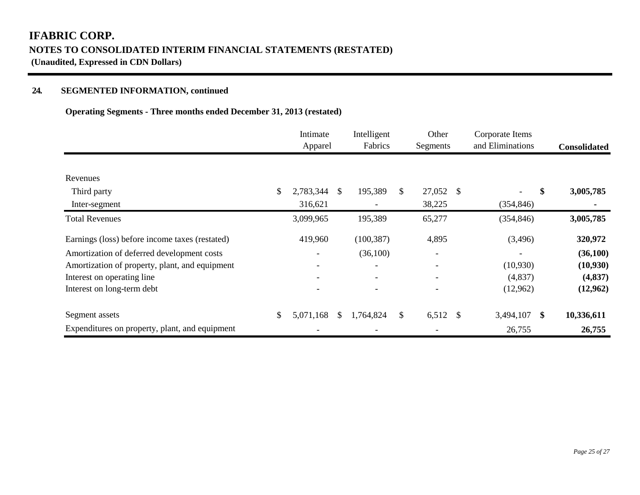### **24. SEGMENTED INFORMATION, continued**

### **Operating Segments - Three months ended December 31, 2013 (restated)**

|                                                | Intimate<br>Apparel |     | Intelligent<br>Fabrics |              | Other<br>Segments   | Corporate Items<br>and Eliminations |               | <b>Consolidated</b> |
|------------------------------------------------|---------------------|-----|------------------------|--------------|---------------------|-------------------------------------|---------------|---------------------|
|                                                |                     |     |                        |              |                     |                                     |               |                     |
| Revenues                                       |                     |     |                        |              |                     |                                     |               |                     |
| Third party                                    | \$<br>2,783,344     | \$. | 195,389                | $\mathbb{S}$ | 27,052 \$           | $\overline{\phantom{a}}$            | \$            | 3,005,785           |
| Inter-segment                                  | 316,621             |     |                        |              | 38,225              | (354, 846)                          |               |                     |
| <b>Total Revenues</b>                          | 3,099,965           |     | 195,389                |              | 65,277              | (354, 846)                          |               | 3,005,785           |
| Earnings (loss) before income taxes (restated) | 419,960             |     | (100, 387)             |              | 4,895               | (3,496)                             |               | 320,972             |
| Amortization of deferred development costs     |                     |     | (36,100)               |              |                     |                                     |               | (36,100)            |
| Amortization of property, plant, and equipment |                     |     |                        |              |                     | (10,930)                            |               | (10, 930)           |
| Interest on operating line                     |                     |     |                        |              |                     | (4,837)                             |               | (4,837)             |
| Interest on long-term debt                     |                     |     |                        |              |                     | (12,962)                            |               | (12,962)            |
| Segment assets                                 | \$<br>5,071,168     | S.  | 1,764,824              | \$           | 6,512 $\frac{1}{2}$ | 3,494,107                           | <sup>\$</sup> | 10,336,611          |
| Expenditures on property, plant, and equipment |                     |     |                        |              |                     | 26,755                              |               | 26,755              |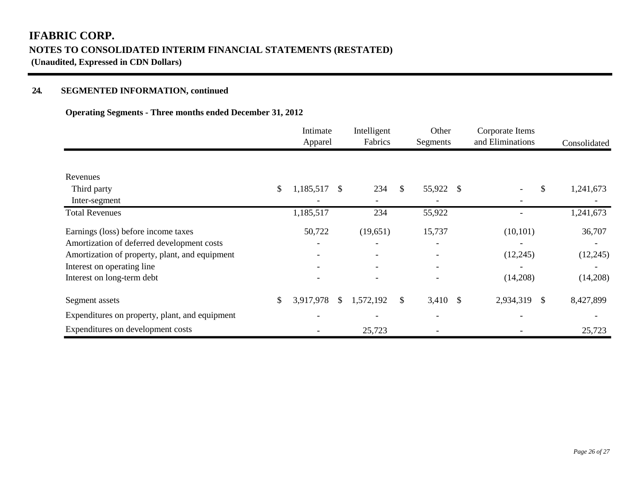### **24. SEGMENTED INFORMATION, continued**

### **Operating Segments - Three months ended December 31, 2012**

|                                                | Intimate<br>Apparel             | Intelligent<br>Fabrics | Other<br>Segments | Corporate Items<br>and Eliminations | Consolidated |
|------------------------------------------------|---------------------------------|------------------------|-------------------|-------------------------------------|--------------|
|                                                |                                 |                        |                   |                                     |              |
| Revenues                                       |                                 |                        |                   |                                     |              |
| Third party                                    | \$<br>1,185,517<br><sup>S</sup> | 234                    | \$<br>55,922 \$   | $\mathcal{S}$                       | 1,241,673    |
| Inter-segment                                  |                                 |                        |                   |                                     |              |
| <b>Total Revenues</b>                          | 1,185,517                       | 234                    | 55,922            |                                     | 1,241,673    |
| Earnings (loss) before income taxes            | 50,722                          | (19,651)               | 15,737            | (10, 101)                           | 36,707       |
| Amortization of deferred development costs     |                                 |                        |                   |                                     |              |
| Amortization of property, plant, and equipment |                                 |                        |                   | (12,245)                            | (12, 245)    |
| Interest on operating line                     |                                 |                        |                   |                                     |              |
| Interest on long-term debt                     |                                 |                        |                   | (14,208)                            | (14,208)     |
| Segment assets                                 | \$<br>3,917,978<br>$\mathbb{S}$ | 1,572,192              | \$<br>$3,410$ \$  | 2,934,319<br>- \$                   | 8,427,899    |
| Expenditures on property, plant, and equipment |                                 |                        |                   |                                     |              |
| Expenditures on development costs              |                                 | 25,723                 |                   |                                     | 25,723       |